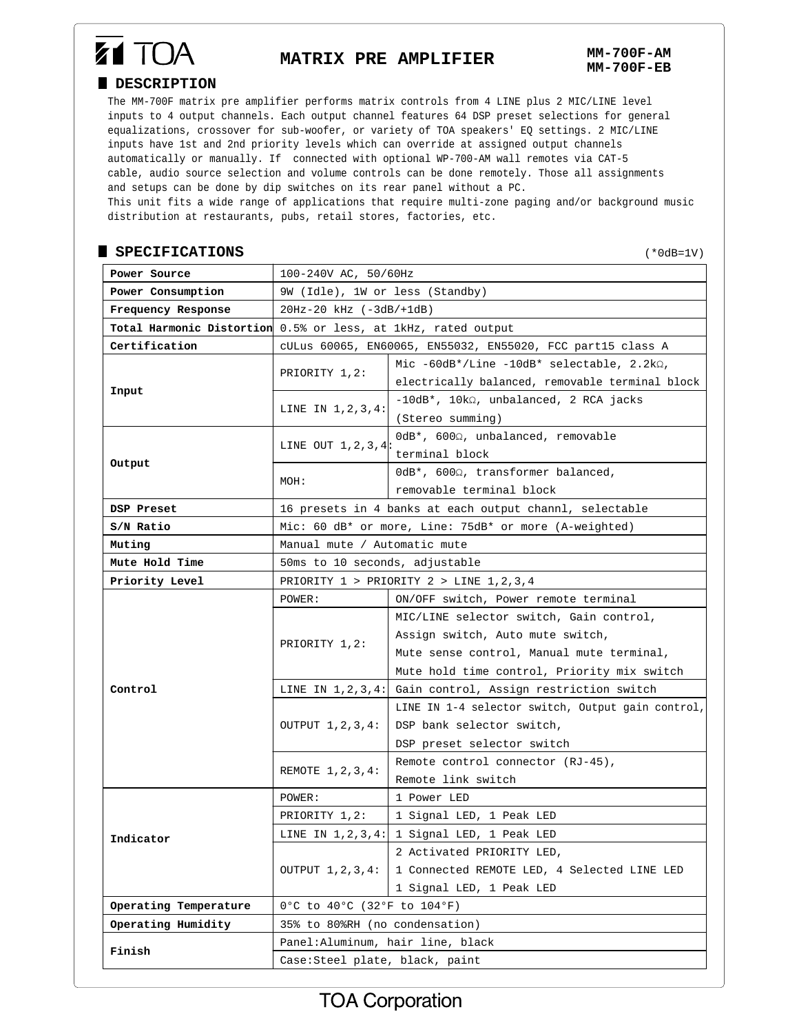# **Z1 TOA**

## **MATRIX PRE AMPLIFIER MM-700F-AM**

#### **DESCRIPTION**

The MM-700F matrix pre amplifier performs matrix controls from 4 LINE plus 2 MIC/LINE level inputs to 4 output channels. Each output channel features 64 DSP preset selections for general equalizations, crossover for sub-woofer, or variety of TOA speakers' EQ settings. 2 MIC/LINE inputs have 1st and 2nd priority levels which can override at assigned output channels automatically or manually. If connected with optional WP-700-AM wall remotes via CAT-5 cable, audio source selection and volume controls can be done remotely. Those all assignments and setups can be done by dip switches on its rear panel without a PC.

This unit fits a wide range of applications that require multi-zone paging and/or background music distribution at restaurants, pubs, retail stores, factories, etc.

#### **SPECIFICATIONS**

(\*0dB=1V)

| Power Source          | 100-240V AC, 50/60Hz                                          |                                                       |
|-----------------------|---------------------------------------------------------------|-------------------------------------------------------|
| Power Consumption     | 9W (Idle), 1W or less (Standby)                               |                                                       |
| Frequency Response    | $20Hz - 20 kHz (-3dB / +1dB)$                                 |                                                       |
|                       | Total Harmonic Distortion 0.5% or less, at 1kHz, rated output |                                                       |
| Certification         | cULus 60065, EN60065, EN55032, EN55020, FCC part15 class A    |                                                       |
| Input                 | PRIORITY 1,2:                                                 | Mic $-60dB^*/Line -10dB^*$ selectable, $2.2k\Omega$ , |
|                       |                                                               | electrically balanced, removable terminal block       |
|                       | LINE IN 1, 2, 3, 4:                                           | $-10dB^*$ , $10k\Omega$ , unbalanced, 2 RCA jacks     |
|                       |                                                               | (Stereo summing)                                      |
| Output                | LINE OUT $1, 2, 3, 4$ :                                       | 0dB*, 600Ω, unbalanced, removable                     |
|                       |                                                               | terminal block                                        |
|                       | MOH:                                                          | OdB*, 6002, transformer balanced,                     |
|                       |                                                               | removable terminal block                              |
| DSP Preset            | 16 presets in 4 banks at each output channl, selectable       |                                                       |
| S/N Ratio             | Mic: 60 dB* or more, Line: 75dB* or more (A-weighted)         |                                                       |
| Muting                | Manual mute / Automatic mute                                  |                                                       |
| Mute Hold Time        | 50ms to 10 seconds, adjustable                                |                                                       |
| Priority Level        | PRIORITY $1$ > PRIORITY $2$ > LINE $1, 2, 3, 4$               |                                                       |
| Control               | POWER:                                                        | ON/OFF switch, Power remote terminal                  |
|                       | PRIORITY 1,2:                                                 | MIC/LINE selector switch, Gain control,               |
|                       |                                                               | Assign switch, Auto mute switch,                      |
|                       |                                                               | Mute sense control, Manual mute terminal,             |
|                       |                                                               | Mute hold time control, Priority mix switch           |
|                       | LINE IN $1, 2, 3, 4:$                                         | Gain control, Assign restriction switch               |
|                       | OUTPUT 1,2,3,4:                                               | LINE IN 1-4 selector switch, Output gain control,     |
|                       |                                                               | DSP bank selector switch,                             |
|                       |                                                               | DSP preset selector switch                            |
|                       | REMOTE 1, 2, 3, 4:                                            | Remote control connector (RJ-45),                     |
|                       |                                                               | Remote link switch                                    |
| Indicator             | POWER:                                                        | 1 Power LED                                           |
|                       | PRIORITY 1,2:                                                 | 1 Signal LED, 1 Peak LED                              |
|                       |                                                               | LINE IN $1, 2, 3, 4$ : 1 Signal LED, 1 Peak LED       |
|                       | OUTPUT 1, 2, 3, 4:                                            | 2 Activated PRIORITY LED,                             |
|                       |                                                               | 1 Connected REMOTE LED, 4 Selected LINE LED           |
|                       |                                                               | 1 Signal LED, 1 Peak LED                              |
| Operating Temperature | 0°C to 40°C (32°F to 104°F)                                   |                                                       |
| Operating Humidity    | 35% to 80%RH (no condensation)                                |                                                       |
| Finish                | Panel: Aluminum, hair line, black                             |                                                       |
|                       | Case:Steel plate, black, paint                                |                                                       |
|                       |                                                               |                                                       |